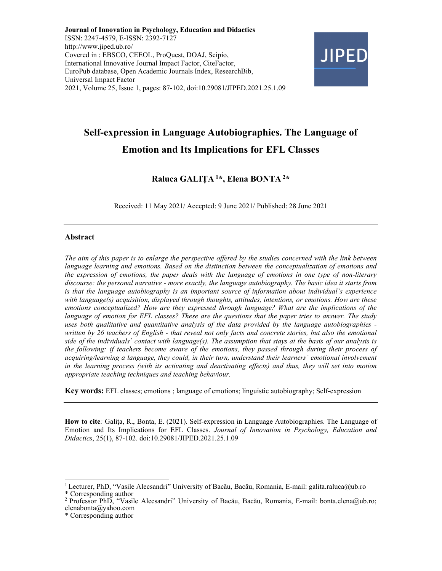Journal of Innovation in Psychology, Education and Didactics ISSN: 2247-4579, E-ISSN: 2392-7127 http://www.jiped.ub.ro/ Covered in : EBSCO, CEEOL, ProQuest, DOAJ, Scipio, International Innovative Journal Impact Factor, CiteFactor, EuroPub database, Open Academic Journals Index, ResearchBib, Universal Impact Factor 2021, Volume 25, Issue 1, pages: 87-102, doi:10.29081/JIPED.2021.25.1.09



# Self-expression in Language Autobiographies. The Language of Emotion and Its Implications for EFL Classes

# Raluca GALIȚA<sup>1</sup>\*, Elena BONTA<sup>2</sup>\*

Received: 11 May 2021/ Accepted: 9 June 2021/ Published: 28 June 2021

## Abstract

The aim of this paper is to enlarge the perspective offered by the studies concerned with the link between language learning and emotions. Based on the distinction between the conceptualization of emotions and the expression of emotions, the paper deals with the language of emotions in one type of non-literary discourse: the personal narrative - more exactly, the language autobiography. The basic idea it starts from is that the language autobiography is an important source of information about individual`s experience with language(s) acquisition, displayed through thoughts, attitudes, intentions, or emotions. How are these emotions conceptualized? How are they expressed through language? What are the implications of the language of emotion for EFL classes? These are the questions that the paper tries to answer. The study uses both qualitative and quantitative analysis of the data provided by the language autobiographies written by 26 teachers of English - that reveal not only facts and concrete stories, but also the emotional side of the individuals' contact with language(s). The assumption that stays at the basis of our analysis is the following: if teachers become aware of the emotions, they passed through during their process of acquiring/learning a language, they could, in their turn, understand their learners` emotional involvement in the learning process (with its activating and deactivating effects) and thus, they will set into motion appropriate teaching techniques and teaching behaviour.

Key words: EFL classes; emotions ; language of emotions; linguistic autobiography; Self-expression

How to cite: Galița, R., Bonta, E. (2021). Self-expression in Language Autobiographies. The Language of Emotion and Its Implications for EFL Classes. Journal of Innovation in Psychology, Education and Didactics, 25(1), 87-102. doi:10.29081/JIPED.2021.25.1.09

<sup>&</sup>lt;sup>1</sup> Lecturer, PhD, "Vasile Alecsandri" University of Bacău, Bacău, Romania, E-mail: galita.raluca@ub.ro

<sup>\*</sup> Corresponding author

<sup>&</sup>lt;sup>2</sup> Professor PhD, "Vasile Alecsandri" University of Bacău, Bacău, Romania, E-mail: bonta.elena@ub.ro; elenabonta@yahoo.com

<sup>\*</sup> Corresponding author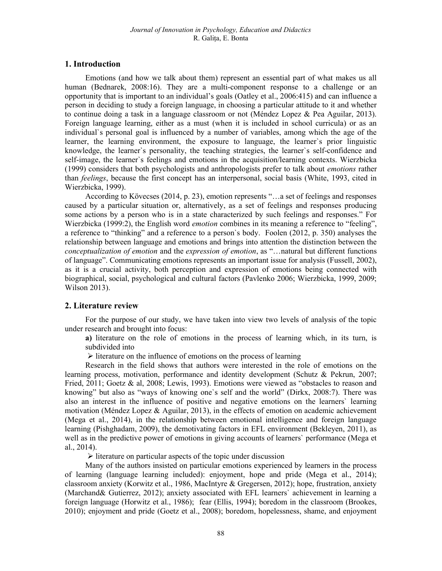# 1. Introduction

Emotions (and how we talk about them) represent an essential part of what makes us all human (Bednarek, 2008:16). They are a multi-component response to a challenge or an opportunity that is important to an individual's goals (Oatley et al., 2006:415) and can influence a person in deciding to study a foreign language, in choosing a particular attitude to it and whether to continue doing a task in a language classroom or not (Méndez Lopez & Pea Aguilar, 2013). Foreign language learning, either as a must (when it is included in school curricula) or as an individual`s personal goal is influenced by a number of variables, among which the age of the learner, the learning environment, the exposure to language, the learner`s prior linguistic knowledge, the learner`s personality, the teaching strategies, the learner`s self-confidence and self-image, the learner`s feelings and emotions in the acquisition/learning contexts. Wierzbicka (1999) considers that both psychologists and anthropologists prefer to talk about emotions rather than feelings, because the first concept has an interpersonal, social basis (White, 1993, cited in Wierzbicka, 1999).

According to Kövecses (2014, p. 23), emotion represents "…a set of feelings and responses caused by a particular situation or, alternatively, as a set of feelings and responses producing some actions by a person who is in a state characterized by such feelings and responses." For Wierzbicka (1999:2), the English word *emotion* combines in its meaning a reference to "feeling", a reference to "thinking" and a reference to a person`s body. Foolen (2012, p. 350) analyses the relationship between language and emotions and brings into attention the distinction between the conceptualization of emotion and the expression of emotion, as "…natural but different functions of language". Communicating emotions represents an important issue for analysis (Fussell, 2002), as it is a crucial activity, both perception and expression of emotions being connected with biographical, social, psychological and cultural factors (Pavlenko 2006; Wierzbicka, 1999, 2009; Wilson 2013).

# 2. Literature review

For the purpose of our study, we have taken into view two levels of analysis of the topic under research and brought into focus:

a) literature on the role of emotions in the process of learning which, in its turn, is subdivided into

 $\triangleright$  literature on the influence of emotions on the process of learning

Research in the field shows that authors were interested in the role of emotions on the learning process, motivation, performance and identity development (Schutz & Pekrun, 2007; Fried, 2011; Goetz & al, 2008; Lewis, 1993). Emotions were viewed as "obstacles to reason and knowing" but also as "ways of knowing one`s self and the world" (Dirkx, 2008:7). There was also an interest in the influence of positive and negative emotions on the learners` learning motivation (Méndez Lopez & Aguilar, 2013), in the effects of emotion on academic achievement (Mega et al., 2014), in the relationship between emotional intelligence and foreign language learning (Pishghadam, 2009), the demotivating factors in EFL environment (Bekleyen, 2011), as well as in the predictive power of emotions in giving accounts of learners` performance (Mega et al., 2014).

 $\triangleright$  literature on particular aspects of the topic under discussion

Many of the authors insisted on particular emotions experienced by learners in the process of learning (language learning included): enjoyment, hope and pride (Mega et al., 2014); classroom anxiety (Korwitz et al., 1986, MacIntyre & Gregersen, 2012); hope, frustration, anxiety (Marchand& Gutierrez, 2012); anxiety associated with EFL learners` achievement in learning a foreign language (Horwitz et al., 1986); fear (Ellis, 1994); boredom in the classroom (Brookes, 2010); enjoyment and pride (Goetz et al., 2008); boredom, hopelessness, shame, and enjoyment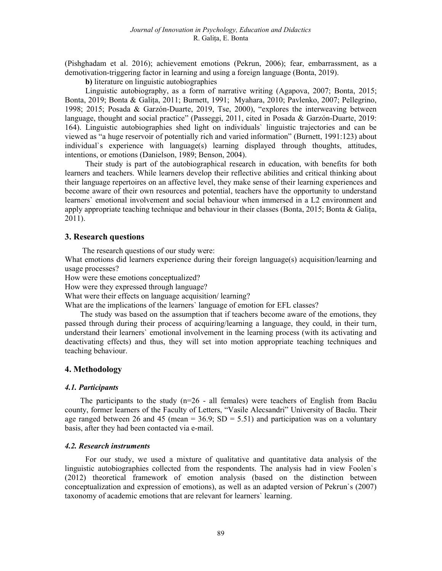(Pishghadam et al. 2016); achievement emotions (Pekrun, 2006); fear, embarrassment, as a demotivation-triggering factor in learning and using a foreign language (Bonta, 2019).

b) literature on linguistic autobiographies

Linguistic autobiography, as a form of narrative writing (Agapova, 2007; Bonta, 2015; Bonta, 2019; Bonta & Galița, 2011; Burnett, 1991; Myahara, 2010; Pavlenko, 2007; Pellegrino, 1998; 2015; Posada & Garzón-Duarte, 2019, Tse, 2000), "explores the interweaving between language, thought and social practice" (Passeggi, 2011, cited in Posada & Garzón-Duarte, 2019: 164). Linguistic autobiographies shed light on individuals` linguistic trajectories and can be viewed as "a huge reservoir of potentially rich and varied information" (Burnett, 1991:123) about individual`s experience with language(s) learning displayed through thoughts, attitudes, intentions, or emotions (Danielson, 1989; Benson, 2004).

Their study is part of the autobiographical research in education, with benefits for both learners and teachers. While learners develop their reflective abilities and critical thinking about their language repertoires on an affective level, they make sense of their learning experiences and become aware of their own resources and potential, teachers have the opportunity to understand learners` emotional involvement and social behaviour when immersed in a L2 environment and apply appropriate teaching technique and behaviour in their classes (Bonta, 2015; Bonta & Galița, 2011).

## 3. Research questions

The research questions of our study were:

What emotions did learners experience during their foreign language(s) acquisition/learning and usage processes?

How were these emotions conceptualized?

How were they expressed through language?

What were their effects on language acquisition/ learning?

What are the implications of the learners` language of emotion for EFL classes?

The study was based on the assumption that if teachers become aware of the emotions, they passed through during their process of acquiring/learning a language, they could, in their turn, understand their learners` emotional involvement in the learning process (with its activating and deactivating effects) and thus, they will set into motion appropriate teaching techniques and teaching behaviour.

#### 4. Methodology

#### 4.1. Participants

The participants to the study (n=26 - all females) were teachers of English from Bacău county, former learners of the Faculty of Letters, "Vasile Alecsandri" University of Bacău. Their age ranged between 26 and 45 (mean =  $36.9$ ; SD =  $5.51$ ) and participation was on a voluntary basis, after they had been contacted via e-mail.

#### 4.2. Research instruments

For our study, we used a mixture of qualitative and quantitative data analysis of the linguistic autobiographies collected from the respondents. The analysis had in view Foolen`s (2012) theoretical framework of emotion analysis (based on the distinction between conceptualization and expression of emotions), as well as an adapted version of Pekrun`s (2007) taxonomy of academic emotions that are relevant for learners` learning.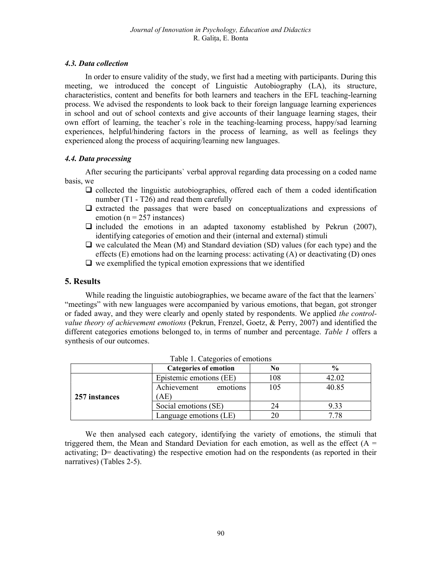## 4.3. Data collection

In order to ensure validity of the study, we first had a meeting with participants. During this meeting, we introduced the concept of Linguistic Autobiography (LA), its structure, characteristics, content and benefits for both learners and teachers in the EFL teaching-learning process. We advised the respondents to look back to their foreign language learning experiences in school and out of school contexts and give accounts of their language learning stages, their own effort of learning, the teacher`s role in the teaching-learning process, happy/sad learning experiences, helpful/hindering factors in the process of learning, as well as feelings they experienced along the process of acquiring/learning new languages.

# 4.4. Data processing

After securing the participants` verbal approval regarding data processing on a coded name basis, we

- $\Box$  collected the linguistic autobiographies, offered each of them a coded identification number (T1 - T26) and read them carefully
- $\Box$  extracted the passages that were based on conceptualizations and expressions of emotion ( $n = 257$  instances)
- $\Box$  included the emotions in an adapted taxonomy established by Pekrun (2007), identifying categories of emotion and their (internal and external) stimuli
- $\Box$  we calculated the Mean (M) and Standard deviation (SD) values (for each type) and the effects  $(E)$  emotions had on the learning process: activating  $(A)$  or deactivating  $(D)$  ones
- $\Box$  we exemplified the typical emotion expressions that we identified

## 5. Results

While reading the linguistic autobiographies, we became aware of the fact that the learners' "meetings" with new languages were accompanied by various emotions, that began, got stronger or faded away, and they were clearly and openly stated by respondents. We applied the controlvalue theory of achievement emotions (Pekrun, Frenzel, Goetz, & Perry, 2007) and identified the different categories emotions belonged to, in terms of number and percentage. Table 1 offers a synthesis of our outcomes.

|               | <b>Categories of emotion</b> | No  | $\frac{0}{0}$ |
|---------------|------------------------------|-----|---------------|
|               | Epistemic emotions (EE)      | 108 | 42.02         |
|               | Achievement<br>emotions      | 105 | 40.85         |
| 257 instances | AE)                          |     |               |
|               | Social emotions (SE)         | 24  | 9.33          |
|               | Language emotions (LE)       |     | 7.78          |

|  | Table 1. Categories of emotions |
|--|---------------------------------|
|  |                                 |

We then analysed each category, identifying the variety of emotions, the stimuli that triggered them, the Mean and Standard Deviation for each emotion, as well as the effect  $(A =$ activating; D= deactivating) the respective emotion had on the respondents (as reported in their narratives) (Tables 2-5).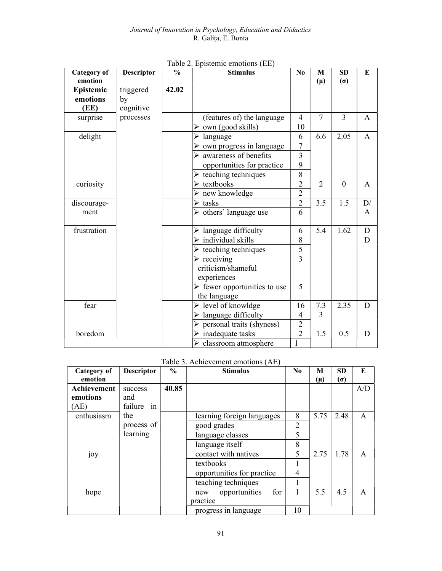| <b>Category of</b> | <b>Descriptor</b> | $\frac{6}{6}$ | <b>Stimulus</b>                             | N <sub>0</sub> | M              | <b>SD</b>  | E            |
|--------------------|-------------------|---------------|---------------------------------------------|----------------|----------------|------------|--------------|
| emotion            |                   |               |                                             |                | $(\mu)$        | $(\sigma)$ |              |
| Epistemic          | triggered         | 42.02         |                                             |                |                |            |              |
| emotions           | by                |               |                                             |                |                |            |              |
| (EE)               | cognitive         |               |                                             |                |                |            |              |
| surprise           | processes         |               | (features of) the language                  | $\overline{4}$ | $\overline{7}$ | 3          | A            |
|                    |                   |               | $\triangleright$ own (good skills)          | 10             |                |            |              |
| delight            |                   |               | language                                    | 6              | 6.6            | 2.05       | A            |
|                    |                   |               | $\triangleright$ own progress in language   | $\overline{7}$ |                |            |              |
|                    |                   |               | $\triangleright$ awareness of benefits      | 3              |                |            |              |
|                    |                   |               | opportunities for practice                  | $\overline{9}$ |                |            |              |
|                    |                   |               | $\triangleright$ teaching techniques        | $\overline{8}$ |                |            |              |
| curiosity          |                   |               | $\triangleright$ textbooks                  | $\overline{2}$ | $\overline{2}$ | $\Omega$   | $\mathsf{A}$ |
|                    |                   |               | $\triangleright$ new knowledge              | $\overline{2}$ |                |            |              |
| discourage-        |                   |               | $\triangleright$ tasks                      | $\overline{2}$ | 3.5            | 1.5        | D/           |
| ment               |                   |               | $\triangleright$ others' language use       | 6              |                |            | A            |
|                    |                   |               |                                             |                |                |            |              |
| frustration        |                   |               | $\triangleright$ language difficulty        | 6              | 5.4            | 1.62       | D            |
|                    |                   |               | $\triangleright$ individual skills          | 8              |                |            | D            |
|                    |                   |               | $\triangleright$ teaching techniques        | $\overline{5}$ |                |            |              |
|                    |                   |               | $\triangleright$ receiving                  | 3              |                |            |              |
|                    |                   |               | criticism/shameful                          |                |                |            |              |
|                    |                   |               | experiences                                 |                |                |            |              |
|                    |                   |               | $\triangleright$ fewer opportunities to use | $\overline{5}$ |                |            |              |
|                    |                   |               | the language                                |                |                |            |              |
| fear               |                   |               | $\triangleright$ level of knowldge          | 16             | 7.3            | 2.35       | D            |
|                    |                   |               | $\triangleright$ language difficulty        | $\overline{4}$ | 3              |            |              |
|                    |                   |               | $\triangleright$ personal traits (shyness)  | $\overline{c}$ |                |            |              |
| boredom            |                   |               | $\triangleright$ inadequate tasks           | $\overline{2}$ | 1.5            | 0.5        | D            |
|                    |                   |               | $\triangleright$ classroom atmosphere       | 1              |                |            |              |

Table 2. Epistemic emotions (EE)

Table 3. Achievement emotions (AE)

| Category of<br>emotion | <b>Descriptor</b> | $\frac{6}{9}$ | <b>Stimulus</b>             | N <sub>0</sub> | М<br>(µ) | <b>SD</b><br>$(\sigma)$ | E            |
|------------------------|-------------------|---------------|-----------------------------|----------------|----------|-------------------------|--------------|
| Achievement            | success           | 40.85         |                             |                |          |                         | A/D          |
| emotions               | and               |               |                             |                |          |                         |              |
| AE)                    | failure in        |               |                             |                |          |                         |              |
| enthusiasm             | the               |               | learning foreign languages  | 8              | 5.75     | 2.48                    | $\mathsf{A}$ |
|                        | process of        |               | good grades                 | $\overline{2}$ |          |                         |              |
|                        | learning          |               | language classes            | 5              |          |                         |              |
|                        |                   |               | language itself             | 8              |          |                         |              |
| joy                    |                   |               | contact with natives        | 5              | 2.75     | 1.78                    | $\mathsf{A}$ |
|                        |                   |               | textbooks                   |                |          |                         |              |
|                        |                   |               | opportunities for practice  | $\overline{4}$ |          |                         |              |
|                        |                   |               | teaching techniques         |                |          |                         |              |
| hope                   |                   |               | opportunities<br>for<br>new | 1              | 5.5      | 4.5                     | $\mathsf{A}$ |
|                        |                   |               | practice                    |                |          |                         |              |
|                        |                   |               | progress in language        | 10             |          |                         |              |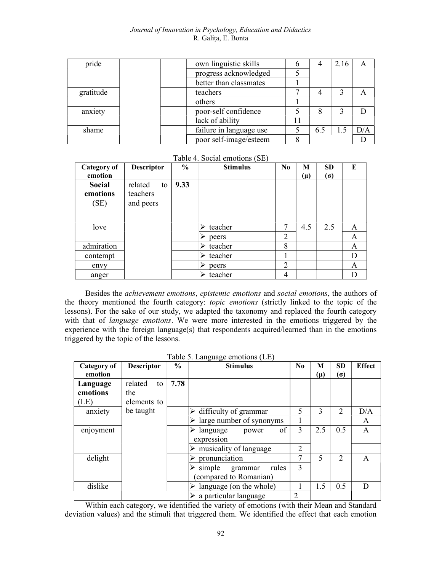#### Journal of Innovation in Psychology, Education and Didactics R. Galița, E. Bonta

| pride     | own linguistic skills   | O |     | 2.16 |     |
|-----------|-------------------------|---|-----|------|-----|
|           | progress acknowledged   |   |     |      |     |
|           | better than classmates  |   |     |      |     |
| gratitude | teachers                |   |     |      |     |
|           | others                  |   |     |      |     |
| anxiety   | poor-self confidence    |   | 8   |      |     |
|           | lack of ability         |   |     |      |     |
| shame     | failure in language use |   | 6.5 | 1.5  | D/A |
|           | poor self-image/esteem  |   |     |      |     |

Table 4. Social emotions (SE)

| <b>Category of</b><br>emotion     | <b>Descriptor</b>                      | $\frac{0}{0}$ | <b>Stimulus</b> | N <sub>0</sub> | М<br>$(\mu)$ | <b>SD</b><br>$(\sigma)$ | E |
|-----------------------------------|----------------------------------------|---------------|-----------------|----------------|--------------|-------------------------|---|
| <b>Social</b><br>emotions<br>(SE) | related<br>to<br>teachers<br>and peers | 9.33          |                 |                |              |                         |   |
| love                              |                                        |               | teacher         | ┑              | 4.5          | 2.5                     | A |
|                                   |                                        |               | peers           | $\overline{2}$ |              |                         | A |
| admiration                        |                                        |               | teacher<br>↘    | 8              |              |                         | A |
| contempt                          |                                        |               | teacher<br>⋗    | 1              |              |                         | D |
| envy                              |                                        |               | peers           | $\overline{2}$ |              |                         | A |
| anger                             |                                        |               | teacher         | 4              |              |                         | D |

Besides the achievement emotions, epistemic emotions and social emotions, the authors of the theory mentioned the fourth category: topic emotions (strictly linked to the topic of the lessons). For the sake of our study, we adapted the taxonomy and replaced the fourth category with that of language emotions. We were more interested in the emotions triggered by the experience with the foreign language(s) that respondents acquired/learned than in the emotions triggered by the topic of the lessons.

| Category of<br>emotion | <b>Descriptor</b> | $\frac{0}{0}$ | <b>Stimulus</b>                                      | $\bf N_0$     | M<br>$(\mu)$ | <b>SD</b><br>$(\sigma)$ | <b>Effect</b> |
|------------------------|-------------------|---------------|------------------------------------------------------|---------------|--------------|-------------------------|---------------|
| Language               | related<br>to     | 7.78          |                                                      |               |              |                         |               |
| emotions               | the               |               |                                                      |               |              |                         |               |
| (LE)                   | elements to       |               |                                                      |               |              |                         |               |
| anxiety                | be taught         |               | difficulty of grammar                                | 5             | 3            | $\overline{2}$          | D/A           |
|                        |                   |               | $\triangleright$ large number of synonyms            |               |              |                         | A             |
| enjoyment              |                   |               | of<br>language<br>power<br>expression                | 3             | 2.5          | 0.5                     | A             |
|                        |                   |               | musicality of language                               | 2             |              |                         |               |
| delight                |                   |               | pronunciation                                        |               | $\varsigma$  | 2                       | $\mathsf{A}$  |
|                        |                   |               | simple<br>rules<br>grammar<br>(compared to Romanian) | $\mathcal{E}$ |              |                         |               |
| dislike                |                   |               | language (on the whole)                              |               | 1.5          | 0.5                     | D             |
|                        |                   |               | $\triangleright$ a particular language               | 2             |              |                         |               |

Within each category, we identified the variety of emotions (with their Mean and Standard deviation values) and the stimuli that triggered them. We identified the effect that each emotion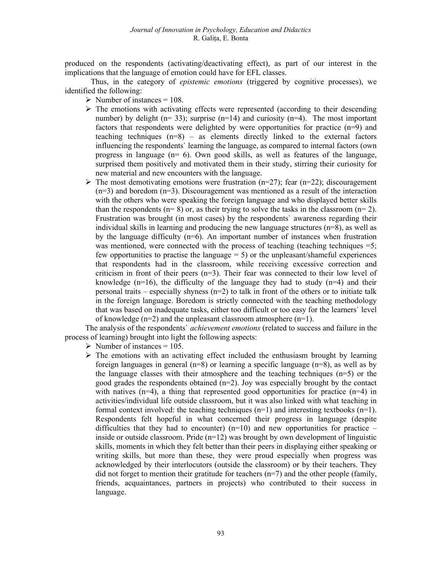produced on the respondents (activating/deactivating effect), as part of our interest in the implications that the language of emotion could have for EFL classes.

Thus, in the category of *epistemic emotions* (triggered by cognitive processes), we identified the following:

- $\triangleright$  Number of instances = 108.
- $\triangleright$  The emotions with activating effects were represented (according to their descending number) by delight ( $n=33$ ); surprise ( $n=14$ ) and curiosity ( $n=4$ ). The most important factors that respondents were delighted by were opportunities for practice  $(n=9)$  and teaching techniques  $(n=8)$  – as elements directly linked to the external factors influencing the respondents` learning the language, as compared to internal factors (own progress in language (n= 6). Own good skills, as well as features of the language, surprised them positively and motivated them in their study, stirring their curiosity for new material and new encounters with the language.
- $\triangleright$  The most demotivating emotions were frustration (n=27); fear (n=22); discouragement  $(n=3)$  and boredom  $(n=3)$ . Discouragement was mentioned as a result of the interaction with the others who were speaking the foreign language and who displayed better skills than the respondents ( $n= 8$ ) or, as their trying to solve the tasks in the classroom ( $n= 2$ ). Frustration was brought (in most cases) by the respondents` awareness regarding their individual skills in learning and producing the new language structures  $(n=8)$ , as well as by the language difficulty  $(n=6)$ . An important number of instances when frustration was mentioned, were connected with the process of teaching (teaching techniques =5; few opportunities to practise the language  $= 5$ ) or the unpleasant/shameful experiences that respondents had in the classroom, while receiving excessive correction and criticism in front of their peers (n=3). Their fear was connected to their low level of knowledge ( $n=16$ ), the difficulty of the language they had to study ( $n=4$ ) and their personal traits – especially shyness (n=2) to talk in front of the others or to initiate talk in the foreign language. Boredom is strictly connected with the teaching methodology that was based on inadequate tasks, either too difficult or too easy for the learners` level of knowledge  $(n=2)$  and the unpleasant classroom atmosphere  $(n=1)$ .

The analysis of the respondents' *achievement emotions* (related to success and failure in the process of learning) brought into light the following aspects:

- $\triangleright$  Number of instances = 105.
- $\triangleright$  The emotions with an activating effect included the enthusiasm brought by learning foreign languages in general ( $n=8$ ) or learning a specific language ( $n=8$ ), as well as by the language classes with their atmosphere and the teaching techniques  $(n=5)$  or the good grades the respondents obtained  $(n=2)$ . Joy was especially brought by the contact with natives (n=4), a thing that represented good opportunities for practice (n=4) in activities/individual life outside classroom, but it was also linked with what teaching in formal context involved: the teaching techniques  $(n=1)$  and interesting textbooks  $(n=1)$ . Respondents felt hopeful in what concerned their progress in language (despite difficulties that they had to encounter)  $(n=10)$  and new opportunities for practice – inside or outside classroom. Pride  $(n=12)$  was brought by own development of linguistic skills, moments in which they felt better than their peers in displaying either speaking or writing skills, but more than these, they were proud especially when progress was acknowledged by their interlocutors (outside the classroom) or by their teachers. They did not forget to mention their gratitude for teachers  $(n=7)$  and the other people (family, friends, acquaintances, partners in projects) who contributed to their success in language.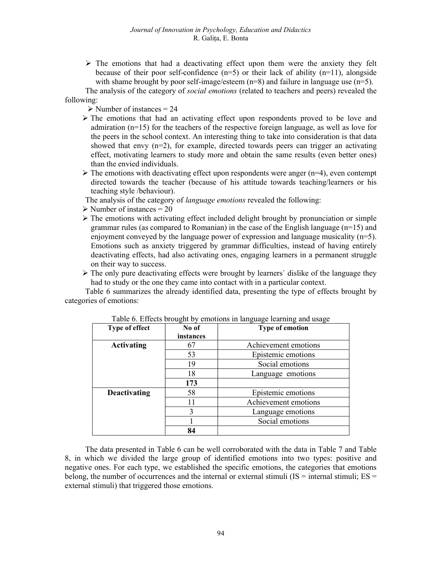$\triangleright$  The emotions that had a deactivating effect upon them were the anxiety they felt because of their poor self-confidence  $(n=5)$  or their lack of ability  $(n=11)$ , alongside with shame brought by poor self-image/esteem  $(n=8)$  and failure in language use  $(n=5)$ .

The analysis of the category of social emotions (related to teachers and peers) revealed the following:

 $\triangleright$  Number of instances = 24

- $\triangleright$  The emotions that had an activating effect upon respondents proved to be love and admiration (n=15) for the teachers of the respective foreign language, as well as love for the peers in the school context. An interesting thing to take into consideration is that data showed that envy  $(n=2)$ , for example, directed towards peers can trigger an activating effect, motivating learners to study more and obtain the same results (even better ones) than the envied individuals.
- $\triangleright$  The emotions with deactivating effect upon respondents were anger (n=4), even contempt directed towards the teacher (because of his attitude towards teaching/learners or his teaching style /behaviour).
- The analysis of the category of language emotions revealed the following:
- $\triangleright$  Number of instances = 20
- $\triangleright$  The emotions with activating effect included delight brought by pronunciation or simple grammar rules (as compared to Romanian) in the case of the English language  $(n=15)$  and enjoyment conveyed by the language power of expression and language musicality  $(n=5)$ . Emotions such as anxiety triggered by grammar difficulties, instead of having entirely deactivating effects, had also activating ones, engaging learners in a permanent struggle on their way to success.
- $\triangleright$  The only pure deactivating effects were brought by learners' dislike of the language they had to study or the one they came into contact with in a particular context.

 Table 6 summarizes the already identified data, presenting the type of effects brought by categories of emotions:

| <b>Type of effect</b> | No of<br>instances | <b>Type of emotion</b> |
|-----------------------|--------------------|------------------------|
| <b>Activating</b>     | 67                 | Achievement emotions   |
|                       | 53                 | Epistemic emotions     |
|                       | 19                 | Social emotions        |
|                       | 18                 | Language emotions      |
|                       | 173                |                        |
| Deactivating          | 58                 | Epistemic emotions     |
|                       | 11                 | Achievement emotions   |
|                       | 3                  | Language emotions      |
|                       |                    | Social emotions        |
|                       | 84                 |                        |

|  |  |  | Table 6. Effects brought by emotions in language learning and usage |  |
|--|--|--|---------------------------------------------------------------------|--|
|  |  |  |                                                                     |  |
|  |  |  |                                                                     |  |

The data presented in Table 6 can be well corroborated with the data in Table 7 and Table 8, in which we divided the large group of identified emotions into two types: positive and negative ones. For each type, we established the specific emotions, the categories that emotions belong, the number of occurrences and the internal or external stimuli ( $IS =$  internal stimuli;  $ES =$ external stimuli) that triggered those emotions.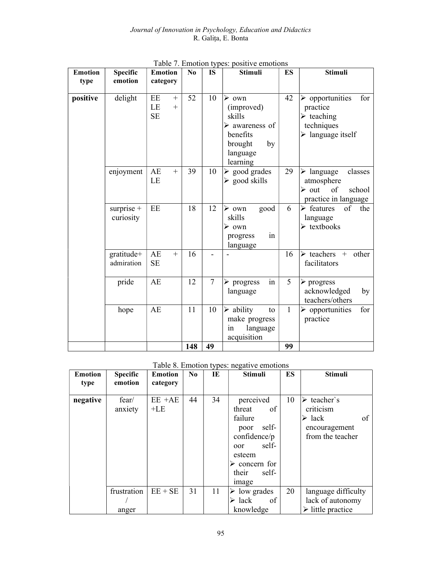| <b>Emotion</b> | <b>Specific</b>          | <b>Emotion</b>                         | <b>Stimuli</b><br>N <sub>0</sub><br><b>IS</b><br><b>ES</b> |                | <b>Stimuli</b>                                                                                             |              |                                                                                                                                  |
|----------------|--------------------------|----------------------------------------|------------------------------------------------------------|----------------|------------------------------------------------------------------------------------------------------------|--------------|----------------------------------------------------------------------------------------------------------------------------------|
| type           | emotion                  | category                               |                                                            |                |                                                                                                            |              |                                                                                                                                  |
| positive       | delight                  | EE<br>$^{+}$<br>LE<br>$+$<br><b>SE</b> | 52                                                         | 10             | $\triangleright$ own<br>(improved)<br>skills<br>➤<br>awareness of<br>benefits<br>brought<br>by<br>language | 42           | $\triangleright$ opportunities<br>for<br>practice<br>$\triangleright$ teaching<br>techniques<br>$\triangleright$ language itself |
|                | enjoyment                | AE<br>$^{+}$<br>LE                     | 39                                                         | 10             | learning<br>$\triangleright$ good grades<br>$\triangleright$ good skills                                   | 29           | $\triangleright$ language<br>classes<br>atmosphere<br>$\triangleright$ out<br>of<br>school<br>practice in language               |
|                | surprise +<br>curiosity  | EE                                     | 18                                                         | 12             | good<br>$\triangleright$ own<br>skills<br>$\triangleright$ own<br>in<br>progress<br>language               | 6            | $\triangleright$ features<br>of<br>the<br>language<br>$\triangleright$ textbooks                                                 |
|                | gratitude+<br>admiration | AE<br>$^{+}$<br><b>SE</b>              | 16                                                         |                |                                                                                                            | 16           | $\triangleright$ teachers<br>other<br>$+$<br>facilitators                                                                        |
|                | pride                    | AE                                     | 12                                                         | $\overline{7}$ | in<br>$\triangleright$ progress<br>language                                                                | 5            | $\triangleright$ progress<br>acknowledged<br>by<br>teachers/others                                                               |
|                | hope                     | AE                                     | 11                                                         | 10             | $\triangleright$ ability<br>to<br>make progress<br>language<br>1n<br>acquisition                           | $\mathbf{1}$ | for<br>$\triangleright$ opportunities<br>practice                                                                                |
|                |                          |                                        | 148                                                        | 49             |                                                                                                            | 99           |                                                                                                                                  |

Table 7. Emotion types: positive emotions

Table 8. Emotion types: negative emotions

| <b>Emotion</b><br>type | <b>Specific</b><br>emotion | <b>Emotion</b><br>category | N <sub>0</sub> | IE | <b>Stimuli</b>                                                                                                                                             | ES | <b>Stimuli</b>                                                                                              |
|------------------------|----------------------------|----------------------------|----------------|----|------------------------------------------------------------------------------------------------------------------------------------------------------------|----|-------------------------------------------------------------------------------------------------------------|
| negative               | fear/<br>anxiety           | $EE + AE$<br>$+LE$         | 44             | 34 | perceived<br>of<br>threat<br>failure<br>self-<br>poor<br>confidence/p<br>self-<br>oor<br>esteem<br>$\triangleright$ concern for<br>their<br>self-<br>image | 10 | $\triangleright$ teacher's<br>criticism<br>$\triangleright$ lack<br>of<br>encouragement<br>from the teacher |
|                        | frustration                | $EE + SE$                  | 31             | 11 | $\triangleright$ low grades                                                                                                                                | 20 | language difficulty                                                                                         |
|                        | anger                      |                            |                |    | of<br>$\triangleright$ lack<br>knowledge                                                                                                                   |    | lack of autonomy<br>$\triangleright$ little practice                                                        |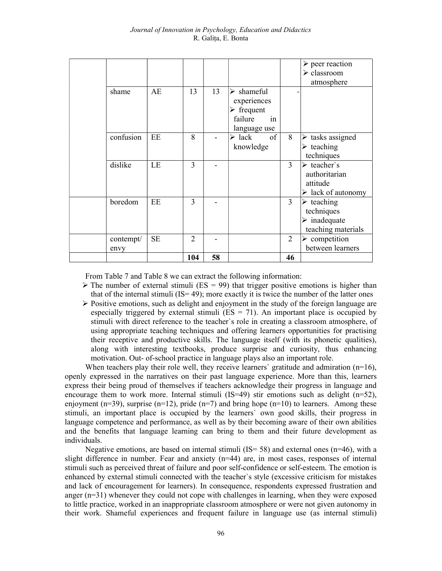|  |                   |           |                |    |                                                                                                        |                | $\triangleright$ peer reaction                                                               |
|--|-------------------|-----------|----------------|----|--------------------------------------------------------------------------------------------------------|----------------|----------------------------------------------------------------------------------------------|
|  |                   |           |                |    |                                                                                                        |                | $\triangleright$ classroom                                                                   |
|  |                   |           |                |    |                                                                                                        |                | atmosphere                                                                                   |
|  | shame             | AE        | 13             | 13 | $\triangleright$ shameful<br>experiences<br>$\triangleright$ frequent<br>failure<br>in<br>language use |                |                                                                                              |
|  | confusion         | EE        | 8              |    | of<br>$\triangleright$ lack<br>knowledge                                                               | 8              | $\triangleright$ tasks assigned<br>$\triangleright$ teaching<br>techniques                   |
|  | dislike           | LE        | 3              |    |                                                                                                        | $\overline{3}$ | $\triangleright$ teacher's<br>authoritarian<br>attitude<br>$\triangleright$ lack of autonomy |
|  | boredom           | EE        | 3              |    |                                                                                                        | $\overline{3}$ | $\triangleright$ teaching<br>techniques<br>$\triangleright$ inadequate<br>teaching materials |
|  | contempt/<br>envy | <b>SE</b> | $\overline{2}$ |    |                                                                                                        | $\overline{2}$ | $\triangleright$ competition<br>between learners                                             |
|  |                   |           | 104            | 58 |                                                                                                        | 46             |                                                                                              |

From Table 7 and Table 8 we can extract the following information:

- $\triangleright$  The number of external stimuli (ES = 99) that trigger positive emotions is higher than that of the internal stimuli  $(IS = 49)$ ; more exactly it is twice the number of the latter ones
- $\triangleright$  Positive emotions, such as delight and enjoyment in the study of the foreign language are especially triggered by external stimuli  $(ES = 71)$ . An important place is occupied by stimuli with direct reference to the teacher`s role in creating a classroom atmosphere, of using appropriate teaching techniques and offering learners opportunities for practising their receptive and productive skills. The language itself (with its phonetic qualities), along with interesting textbooks, produce surprise and curiosity, thus enhancing motivation. Out- of-school practice in language plays also an important role.

When teachers play their role well, they receive learners' gratitude and admiration  $(n=16)$ , openly expressed in the narratives on their past language experience. More than this, learners express their being proud of themselves if teachers acknowledge their progress in language and encourage them to work more. Internal stimuli  $(IS=49)$  stir emotions such as delight  $(n=52)$ , enjoyment (n=39), surprise (n=12), pride (n=7) and bring hope (n=10) to learners. Among these stimuli, an important place is occupied by the learners` own good skills, their progress in language competence and performance, as well as by their becoming aware of their own abilities and the benefits that language learning can bring to them and their future development as individuals.

Negative emotions, are based on internal stimuli (IS= 58) and external ones  $(n=46)$ , with a slight difference in number. Fear and anxiety  $(n=44)$  are, in most cases, responses of internal stimuli such as perceived threat of failure and poor self-confidence or self-esteem. The emotion is enhanced by external stimuli connected with the teacher`s style (excessive criticism for mistakes and lack of encouragement for learners). In consequence, respondents expressed frustration and anger (n=31) whenever they could not cope with challenges in learning, when they were exposed to little practice, worked in an inappropriate classroom atmosphere or were not given autonomy in their work. Shameful experiences and frequent failure in language use (as internal stimuli)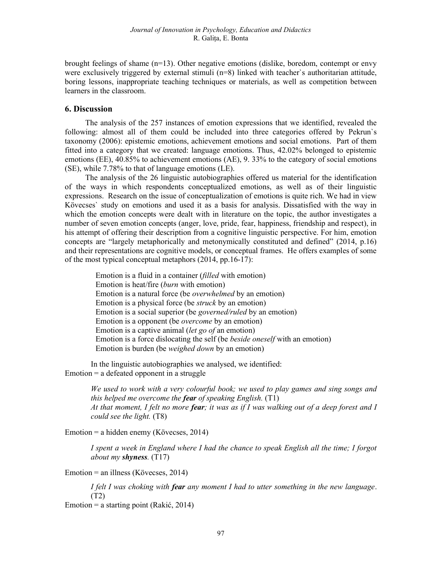brought feelings of shame (n=13). Other negative emotions (dislike, boredom, contempt or envy were exclusively triggered by external stimuli (n=8) linked with teacher`s authoritarian attitude, boring lessons, inappropriate teaching techniques or materials, as well as competition between learners in the classroom.

# 6. Discussion

The analysis of the 257 instances of emotion expressions that we identified, revealed the following: almost all of them could be included into three categories offered by Pekrun`s taxonomy (2006): epistemic emotions, achievement emotions and social emotions. Part of them fitted into a category that we created: language emotions. Thus, 42.02% belonged to epistemic emotions (EE), 40.85% to achievement emotions (AE), 9. 33% to the category of social emotions (SE), while 7.78% to that of language emotions (LE).

The analysis of the 26 linguistic autobiographies offered us material for the identification of the ways in which respondents conceptualized emotions, as well as of their linguistic expressions. Research on the issue of conceptualization of emotions is quite rich. We had in view Kövecses` study on emotions and used it as a basis for analysis. Dissatisfied with the way in which the emotion concepts were dealt with in literature on the topic, the author investigates a number of seven emotion concepts (anger, love, pride, fear, happiness, friendship and respect), in his attempt of offering their description from a cognitive linguistic perspective. For him, emotion concepts are "largely metaphorically and metonymically constituted and defined" (2014, p.16) and their representations are cognitive models, or conceptual frames. He offers examples of some of the most typical conceptual metaphors (2014, pp.16-17):

Emotion is a fluid in a container (filled with emotion) Emotion is heat/fire (burn with emotion) Emotion is a natural force (be overwhelmed by an emotion) Emotion is a physical force (be struck by an emotion) Emotion is a social superior (be governed/ruled by an emotion) Emotion is a opponent (be overcome by an emotion) Emotion is a captive animal (let go of an emotion) Emotion is a force dislocating the self (be beside oneself with an emotion) Emotion is burden (be weighed down by an emotion)

In the linguistic autobiographies we analysed, we identified:  $Emotion = a defeated opponent in a struggle$ 

> We used to work with a very colourful book; we used to play games and sing songs and this helped me overcome the **fear** of speaking English.  $(T1)$ At that moment, I felt no more fear; it was as if I was walking out of a deep forest and I could see the light. (T8)

Emotion = a hidden enemy (Kövecses, 2014)

I spent a week in England where I had the chance to speak English all the time; I forgot about my shyness.  $(T17)$ 

Emotion = an illness (Kövecses, 2014)

I felt I was choking with **fear** any moment I had to utter something in the new language. (T2)

Emotion = a starting point (Rakić, 2014)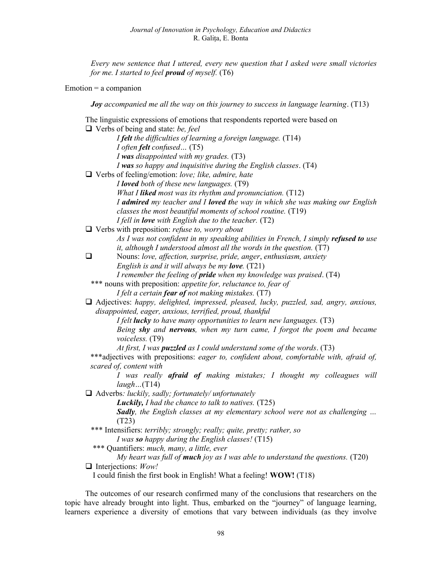Every new sentence that I uttered, every new question that I asked were small victories for me. I started to feel **proud** of myself.  $(T6)$ 

Emotion = a companion

Joy accompanied me all the way on this journey to success in language learning. (T13)

The linguistic expressions of emotions that respondents reported were based on  $\Box$  Verbs of being and state: be, feel I felt the difficulties of learning a foreign language. (T14) I often felt confused… (T5) I was disappointed with my grades.  $(T3)$  I was so happy and inquisitive during the English classes. (T4)  $\Box$  Verbs of feeling/emotion: love; like, admire, hate I loved both of these new languages. (T9) What I liked most was its rhythm and pronunciation.  $(T12)$ I admired my teacher and I loved the way in which she was making our English classes the most beautiful moments of school routine. (T19) I fell in **love** with English due to the teacher.  $(T2)$  $\Box$  Verbs with preposition: *refuse to, worry about* As I was not confident in my speaking abilities in French, I simply **refused to** use it, although I understood almost all the words in the question. (T7)  $\Box$  Nouns: love, affection, surprise, pride, anger, enthusiasm, anxiety English is and it will always be my **love**.  $(T21)$ I remember the feeling of **pride** when my knowledge was praised. (T4) \*\*\* nouns with preposition: appetite for, reluctance to, fear of I felt a certain **fear of** not making mistakes.  $(T7)$  $\Box$  Adjectives: happy, delighted, impressed, pleased, lucky, puzzled, sad, angry, anxious, disappointed, eager, anxious, terrified, proud, thankful I felt **lucky** to have many opportunities to learn new languages.  $(T3)$ Being shy and nervous, when my turn came, I forgot the poem and became voiceless. (T9) At first, I was **puzzled** as I could understand some of the words.  $(T3)$ \*\*\*adjectives with prepositions: eager to, confident about, comfortable with, afraid of, scared of, content with I was really **afraid of** making mistakes; I thought my colleagues will  $laugh...(T14)$  $\Box$  Adverbs: *luckily, sadly; fortunately/ unfortunately* **Luckily,** I had the chance to talk to natives.  $(T25)$ Sadly, the English classes at my elementary school were not as challenging ... (T23) \*\*\* Intensifiers: terribly; strongly; really; quite, pretty; rather, so I was so happy during the English classes!  $(T15)$ \*\*\* Quantifiers: much, many, a little, ever My heart was full of **much** joy as I was able to understand the questions.  $(T20)$  $\Box$  Interjections: Wow! I could finish the first book in English! What a feeling! WOW! (T18)

The outcomes of our research confirmed many of the conclusions that researchers on the topic have already brought into light. Thus, embarked on the "journey" of language learning, learners experience a diversity of emotions that vary between individuals (as they involve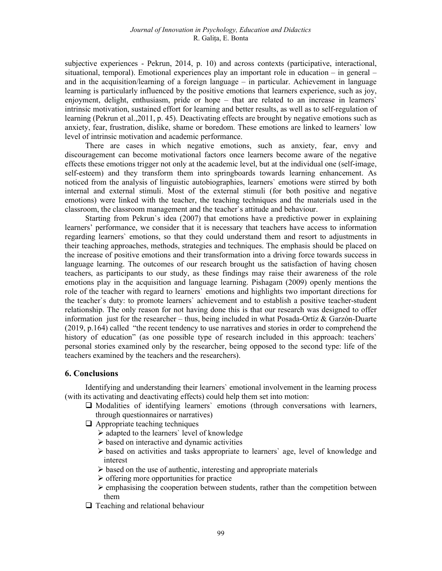subjective experiences - Pekrun, 2014, p. 10) and across contexts (participative, interactional, situational, temporal). Emotional experiences play an important role in education – in general – and in the acquisition/learning of a foreign language – in particular. Achievement in language learning is particularly influenced by the positive emotions that learners experience, such as joy, enjoyment, delight, enthusiasm, pride or hope – that are related to an increase in learners` intrinsic motivation, sustained effort for learning and better results, as well as to self-regulation of learning (Pekrun et al.,2011, p. 45). Deactivating effects are brought by negative emotions such as anxiety, fear, frustration, dislike, shame or boredom. These emotions are linked to learners` low level of intrinsic motivation and academic performance.

There are cases in which negative emotions, such as anxiety, fear, envy and discouragement can become motivational factors once learners become aware of the negative effects these emotions trigger not only at the academic level, but at the individual one (self-image, self-esteem) and they transform them into springboards towards learning enhancement. As noticed from the analysis of linguistic autobiographies, learners` emotions were stirred by both internal and external stimuli. Most of the external stimuli (for both positive and negative emotions) were linked with the teacher, the teaching techniques and the materials used in the classroom, the classroom management and the teacher`s attitude and behaviour.

Starting from Pekrun`s idea (2007) that emotions have a predictive power in explaining learners' performance, we consider that it is necessary that teachers have access to information regarding learners` emotions, so that they could understand them and resort to adjustments in their teaching approaches, methods, strategies and techniques. The emphasis should be placed on the increase of positive emotions and their transformation into a driving force towards success in language learning. The outcomes of our research brought us the satisfaction of having chosen teachers, as participants to our study, as these findings may raise their awareness of the role emotions play in the acquisition and language learning. Pishagam (2009) openly mentions the role of the teacher with regard to learners` emotions and highlights two important directions for the teacher`s duty: to promote learners` achievement and to establish a positive teacher-student relationship. The only reason for not having done this is that our research was designed to offer information just for the researcher – thus, being included in what Posada-Ortíz & Garzón-Duarte (2019, p.164) called "the recent tendency to use narratives and stories in order to comprehend the history of education" (as one possible type of research included in this approach: teachers' personal stories examined only by the researcher, being opposed to the second type: life of the teachers examined by the teachers and the researchers).

#### 6. Conclusions

Identifying and understanding their learners` emotional involvement in the learning process (with its activating and deactivating effects) could help them set into motion:

- $\Box$  Modalities of identifying learners' emotions (through conversations with learners, through questionnaires or narratives)
- $\Box$  Appropriate teaching techniques
	- adapted to the learners` level of knowledge
	- $\triangleright$  based on interactive and dynamic activities
	- $\triangleright$  based on activities and tasks appropriate to learners' age, level of knowledge and interest
	- $\triangleright$  based on the use of authentic, interesting and appropriate materials
	- $\triangleright$  offering more opportunities for practice
	- $\triangleright$  emphasising the cooperation between students, rather than the competition between them
- $\Box$  Teaching and relational behaviour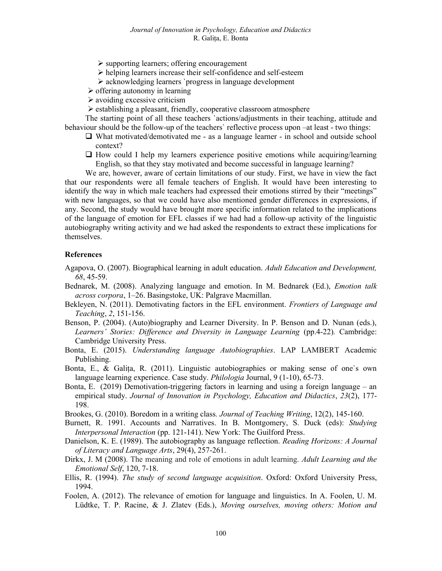- $\triangleright$  supporting learners; offering encouragement
- helping learners increase their self-confidence and self-esteem
- acknowledging learners `progress in language development
- $\triangleright$  offering autonomy in learning
- $\triangleright$  avoiding excessive criticism
- $\triangleright$  establishing a pleasant, friendly, cooperative classroom atmosphere

The starting point of all these teachers `actions/adjustments in their teaching, attitude and behaviour should be the follow-up of the teachers` reflective process upon –at least - two things:

- $\Box$  What motivated/demotivated me as a language learner in school and outside school context?
- $\Box$  How could I help my learners experience positive emotions while acquiring/learning English, so that they stay motivated and become successful in language learning?

We are, however, aware of certain limitations of our study. First, we have in view the fact that our respondents were all female teachers of English. It would have been interesting to identify the way in which male teachers had expressed their emotions stirred by their "meetings" with new languages, so that we could have also mentioned gender differences in expressions, if any. Second, the study would have brought more specific information related to the implications of the language of emotion for EFL classes if we had had a follow-up activity of the linguistic autobiography writing activity and we had asked the respondents to extract these implications for themselves.

#### References

- Agapova, O. (2007). Biographical learning in adult education. Adult Education and Development, 68, 45-59.
- Bednarek, M. (2008). Analyzing language and emotion. In M. Bednarek (Ed.), Emotion talk across corpora, 1–26. Basingstoke, UK: Palgrave Macmillan.
- Bekleyen, N. (2011). Demotivating factors in the EFL environment. *Frontiers of Language and* Teaching, 2, 151-156.
- Benson, P. (2004). (Auto)biography and Learner Diversity. In P. Benson and D. Nunan (eds.), Learners' Stories: Difference and Diversity in Language Learning (pp.4-22). Cambridge: Cambridge University Press.
- Bonta, E. (2015). Understanding language Autobiographies. LAP LAMBERT Academic Publishing.
- Bonta, E., & Galița, R. (2011). Linguistic autobiographies or making sense of one`s own language learning experience. Case study. *Philologia Journal*, 9 (1-10), 65-73.
- Bonta, E. (2019) Demotivation-triggering factors in learning and using a foreign language an empirical study. Journal of Innovation in Psychology, Education and Didactics, 23(2), 177-198.
- Brookes, G. (2010). Boredom in a writing class. Journal of Teaching Writing, 12(2), 145-160.
- Burnett, R. 1991. Accounts and Narratives. In B. Montgomery, S. Duck (eds): Studying Interpersonal Interaction (pp. 121-141). New York: The Guilford Press.
- Danielson, K. E. (1989). The autobiography as language reflection. *Reading Horizons: A Journal* of Literacy and Language Arts, 29(4), 257-261.
- Dirkx, J. M (2008). The meaning and role of emotions in adult learning. Adult Learning and the Emotional Self, 120, 7-18.
- Ellis, R. (1994). *The study of second language acquisition*. Oxford: Oxford University Press, 1994.
- Foolen, A. (2012). The relevance of emotion for language and linguistics. In A. Foolen, U. M. Lüdtke, T. P. Racine, & J. Zlatev (Eds.), Moving ourselves, moving others: Motion and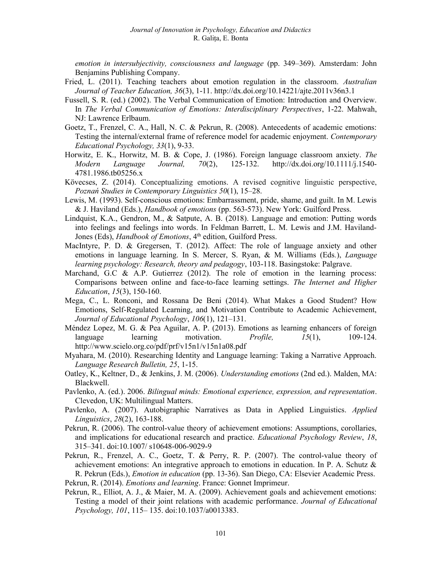emotion in intersubjectivity, consciousness and language (pp. 349–369). Amsterdam: John Benjamins Publishing Company.

- Fried, L. (2011). Teaching teachers about emotion regulation in the classroom. Australian Journal of Teacher Education, 36(3), 1-11. http://dx.doi.org/10.14221/ajte.2011v36n3.1
- Fussell, S. R. (ed.) (2002). The Verbal Communication of Emotion: Introduction and Overview. In The Verbal Communication of Emotions: Interdisciplinary Perspectives, 1-22. Mahwah, NJ: Lawrence Erlbaum.
- Goetz, T., Frenzel, C. A., Hall, N. C. & Pekrun, R. (2008). Antecedents of academic emotions: Testing the internal/external frame of reference model for academic enjoyment. Contemporary Educational Psychology, 33(1), 9-33.
- Horwitz, E. K., Horwitz, M. B. & Cope, J. (1986). Foreign language classroom anxiety. The Modern Language Journal, 70(2), 125-132. http://dx.doi.org/10.1111/j.1540- 4781.1986.tb05256.x
- Kövecses, Z. (2014). Conceptualizing emotions. A revised cognitive linguistic perspective, Poznań Studies in Contemporary Linguistics 50(1), 15–28.
- Lewis, M. (1993). Self-conscious emotions: Embarrassment, pride, shame, and guilt. In M. Lewis & J. Haviland (Eds.), Handbook of emotions (pp. 563-573). New York: Guilford Press.
- Lindquist, K.A., Gendron, M., & Satpute, A. B. (2018). Language and emotion: Putting words into feelings and feelings into words. In Feldman Barrett, L. M. Lewis and J.M. Haviland-Jones (Eds), Handbook of Emotions, 4<sup>th</sup> edition, Guilford Press.
- MacIntyre, P. D. & Gregersen, T. (2012). Affect: The role of language anxiety and other emotions in language learning. In S. Mercer, S. Ryan, & M. Williams (Eds.), *Language* learning psychology: Research, theory and pedagogy, 103-118. Basingstoke: Palgrave.
- Marchand, G.C & A.P. Gutierrez (2012). The role of emotion in the learning process: Comparisons between online and face-to-face learning settings. The Internet and Higher Education, 15(3), 150-160.
- Mega, C., L. Ronconi, and Rossana De Beni (2014). What Makes a Good Student? How Emotions, Self-Regulated Learning, and Motivation Contribute to Academic Achievement, Journal of Educational Psychology, 106(1), 121–131.
- Méndez Lopez, M. G. & Pea Aguilar, A. P. (2013). Emotions as learning enhancers of foreign language learning motivation.  **109-124.** http://www.scielo.org.co/pdf/prf/v15n1/v15n1a08.pdf
- Myahara, M. (2010). Researching Identity and Language learning: Taking a Narrative Approach. Language Research Bulletin, 25, 1-15.
- Oatley, K., Keltner, D., & Jenkins, J. M. (2006). Understanding emotions (2nd ed.). Malden, MA: Blackwell.
- Pavlenko, A. (ed.). 2006. Bilingual minds: Emotional experience, expression, and representation. Clevedon, UK: Multilingual Matters.
- Pavlenko, A. (2007). Autobigraphic Narratives as Data in Applied Linguistics. Applied Linguistics, 28(2), 163-188.
- Pekrun, R. (2006). The control-value theory of achievement emotions: Assumptions, corollaries, and implications for educational research and practice. Educational Psychology Review, 18, 315–341. doi:10.1007/ s10648-006-9029-9
- Pekrun, R., Frenzel, A. C., Goetz, T. & Perry, R. P. (2007). The control-value theory of achievement emotions: An integrative approach to emotions in education. In P. A. Schutz  $\&$ R. Pekrun (Eds.), Emotion in education (pp. 13-36). San Diego, CA: Elsevier Academic Press.
- Pekrun, R. (2014). Emotions and learning. France: Gonnet Imprimeur.
- Pekrun, R., Elliot, A. J., & Maier, M. A. (2009). Achievement goals and achievement emotions: Testing a model of their joint relations with academic performance. Journal of Educational Psychology, 101, 115– 135. doi:10.1037/a0013383.